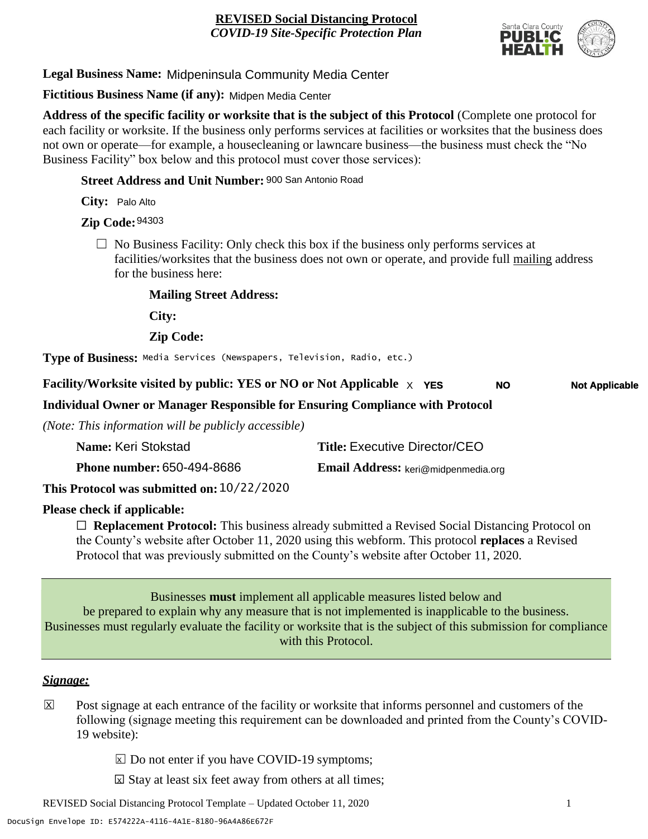

**Legal Business Name:** Midpeninsula Community Media Center

**Fictitious Business Name (if any):** Midpen Media Center

**Address of the specific facility or worksite that is the subject of this Protocol** (Complete one protocol for each facility or worksite. If the business only performs services at facilities or worksites that the business does not own or operate—for example, a housecleaning or lawncare business—the business must check the "No Business Facility" box below and this protocol must cover those services):

**Street Address and Unit Number:** 900 San Antonio Road

**City:** Palo Alto

**Zip Code:** 94303

 $\Box$  No Business Facility: Only check this box if the business only performs services at facilities/worksites that the business does not own or operate, and provide full mailing address for the business here:

**Mailing Street Address:**

**City:**

**Zip Code:**

**Type of Business:** Media Services (Newspapers, Television, Radio, etc.)

**Facility/Worksite visited by public: YES or NO or Not Applicable** X **YES Not Applicable NO**

**Individual Owner or Manager Responsible for Ensuring Compliance with Protocol**

*(Note: This information will be publicly accessible)*

| Name: Keri Stokstad                        | <b>Title: Executive Director/CEO</b> |
|--------------------------------------------|--------------------------------------|
| <b>Phone number: 650-494-8686</b>          | Email Address: keri@midpenmedia.org  |
| This Protocol was submitted on: 10/22/2020 |                                      |

**Please check if applicable:**

☐ **Replacement Protocol:** This business already submitted a Revised Social Distancing Protocol on the County's website after October 11, 2020 using this webform. This protocol **replaces** a Revised Protocol that was previously submitted on the County's website after October 11, 2020.

Businesses **must** implement all applicable measures listed below and be prepared to explain why any measure that is not implemented is inapplicable to the business. Businesses must regularly evaluate the facility or worksite that is the subject of this submission for compliance with this Protocol.

#### *Signage:*

- Post signage at each entrance of the facility or worksite that informs personnel and customers of the following (signage meeting this requirement can be downloaded and printed from the County's COVID-19 website):  $|\overline{x}|$ 
	- $\boxed{\times}$  Do not enter if you have COVID-19 symptoms;
	- $\boxtimes$  Stay at least six feet away from others at all times;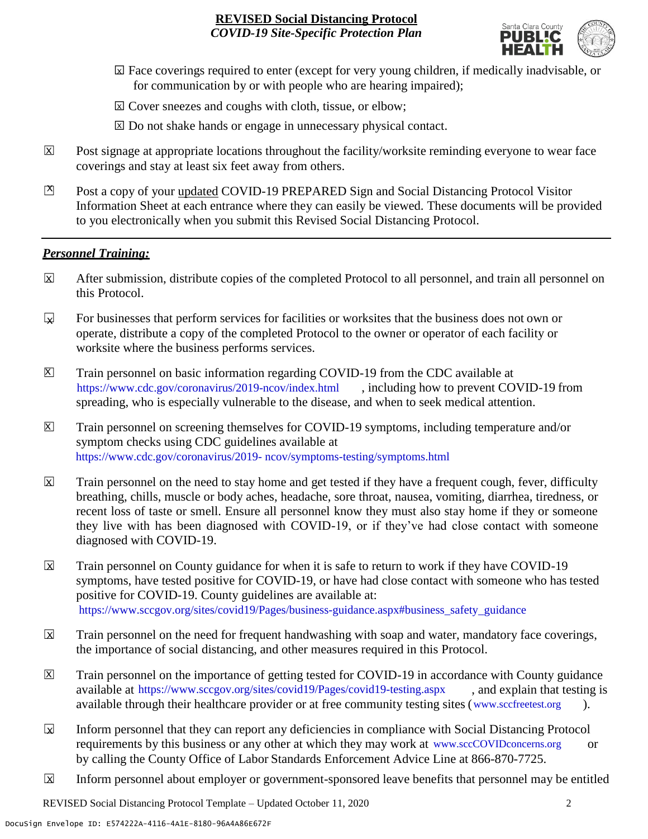

- ☐ Face coverings required to enter (except for very young children, if medically inadvisable, or X for communication by or with people who are hearing impaired);
- ⊠ Cover sneezes and coughs with cloth, tissue, or elbow;
- ⊠ Do not shake hands or engage in unnecessary physical contact.
- Post signage at appropriate locations throughout the facility/worksite reminding everyone to wear face coverings and stay at least six feet away from others. X
- Post a copy of your updated COVID-19 PREPARED Sign and Social Distancing Protocol Visitor Information Sheet at each entrance where they can easily be viewed. These documents will be provided to you electronically when you submit this Revised Social Distancing Protocol.  $\mathbb{Z}$

#### *Personnel Training:*

- After submission, distribute copies of the completed Protocol to all personnel, and train all personnel on this Protocol.  $\mathbf x$
- For businesses that perform services for facilities or worksites that the business does not own or operate, distribute a copy of the completed Protocol to the owner or operator of each facility or worksite where the business performs services.  $\mathbf{v}$
- Train personnel on basic information regarding COVID-19 from the CDC available at [https://www.cdc.gov/coronavirus/2019-ncov/index.html,](https://www.cdc.gov/coronavirus/2019-ncov/index.html) including how to prevent COVID-19 from spreading, who is especially vulnerable to the disease, and when to seek medical attention.  $\mathsf{X}$
- Train personnel on screening themselves for COVID-19 symptoms, including temperature and/or symptom checks using CDC guidelines available at [https://www.cdc.gov/coronavirus/2019-](https://www.cdc.gov/coronavirus/2019-ncov/symptoms-testing/symptoms.html) [ncov/symptoms-testing/symptoms.html.](https://www.cdc.gov/coronavirus/2019-ncov/symptoms-testing/symptoms.html) https://www.cdc.gov/coronavirus/2019- ncov/symptoms-testing/symptoms.html  $|\mathsf{X}|$
- Train personnel on the need to stay home and get tested if they have a frequent cough, fever, difficulty breathing, chills, muscle or body aches, headache, sore throat, nausea, vomiting, diarrhea, tiredness, or recent loss of taste or smell. Ensure all personnel know they must also stay home if they or someone they live with has been diagnosed with COVID-19, or if they've had close contact with someone diagnosed with COVID-19.  $\mathbf x$
- Train personnel on County guidance for when it is safe to return to work if they have COVID-19 symptoms, have tested positive for COVID-19, or have had close contact with someone who has tested positive for COVID-19. County guidelines are available at: [https://www.sccgov.org/sites/covid19/Pages/business-guidance.aspx#business\\_safety\\_guidance.](https://www.sccgov.org/sites/covid19/Pages/business-guidance.aspx#business_safety_guidance.) https://www.sccgov.org/sites/covid19/Pages/business-guidance.aspx#business\_safety\_guidance  $\overline{\mathbf{x}}$
- Train personnel on the need for frequent handwashing with soap and water, mandatory face coverings, the importance of social distancing, and other measures required in this Protocol.  $\overline{\mathsf{x}}$
- Train personnel on the importance of getting tested for COVID-19 in accordance with County guidance available at [https://www.sccgov.org/sites/covid19/Pages/covid19-testing.aspx,](https://www.sccgov.org/sites/covid19/Pages/covid19-testing.aspx) and explain that testing is available through their healthcare provider or at free community testing sites [\(www.sccfreetest.org](http://www.sccfreetest.org/) ).  $\vert X \vert$
- Inform personnel that they can report any deficiencies in compliance with Social Distancing Protocol requirements by this business or any other at which they may work at [www.sccCOVIDconcerns.org](http://www.scccovidconcerns.org/) or by calling the County Office of Labor Standards Enforcement Advice Line at 866-870-7725.  $\overline{\mathbf{x}}$
- Inform personnel about employer or government-sponsored leave benefits that personnel may be entitled  $\boxtimes$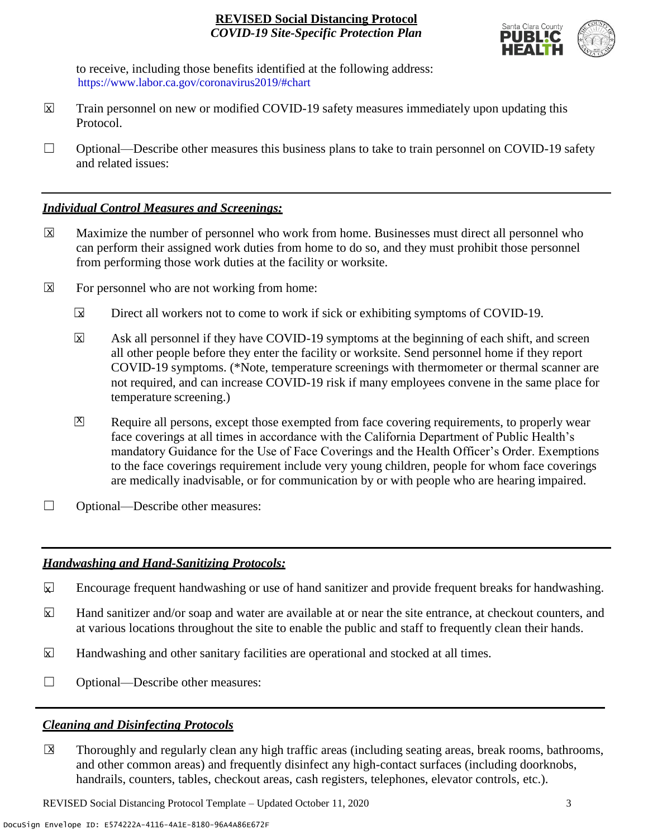

to receive, including those benefits identified at the following address: [https://www.labor.ca.gov/coronavirus2019/#chart.](https://www.labor.ca.gov/coronavirus2019/#chart) https://www.labor.ca.gov/coronavirus2019/#chart

- Train personnel on new or modified COVID-19 safety measures immediately upon updating this Protocol.  $\boxtimes$
- $\Box$  Optional—Describe other measures this business plans to take to train personnel on COVID-19 safety and related issues:

### *Individual Control Measures and Screenings:*

- Maximize the number of personnel who work from home. Businesses must direct all personnel who can perform their assigned work duties from home to do so, and they must prohibit those personnel from performing those work duties at the facility or worksite.  $|\overline{X}|$
- For personnel who are not working from home:  $\boxtimes$ 
	- Direct all workers not to come to work if sick or exhibiting symptoms of COVID-19.  $\overline{\mathbf{x}}$
	- Ask all personnel if they have COVID-19 symptoms at the beginning of each shift, and screen all other people before they enter the facility or worksite. Send personnel home if they report COVID-19 symptoms. (\*Note, temperature screenings with thermometer or thermal scanner are not required, and can increase COVID-19 risk if many employees convene in the same place for temperature screening.) X
	- Require all persons, except those exempted from face covering requirements, to properly wear face coverings at all times in accordance with the California Department of Public Health's mandatory Guidance for the Use of Face Coverings and the Health Officer's Order. Exemptions to the face coverings requirement include very young children, people for whom face coverings are medically inadvisable, or for communication by or with people who are hearing impaired.  $\mathbf{X}$
- ☐ Optional—Describe other measures:

## *Handwashing and Hand-Sanitizing Protocols:*

- Encourage frequent handwashing or use of hand sanitizer and provide frequent breaks for handwashing.  $\mathbf{x}$
- Hand sanitizer and/or soap and water are available at or near the site entrance, at checkout counters, and at various locations throughout the site to enable the public and staff to frequently clean their hands.  $\overline{\mathbf{x}}$
- Handwashing and other sanitary facilities are operational and stocked at all times.  $\mathbf{x}$
- ☐ Optional—Describe other measures:

## *Cleaning and Disinfecting Protocols*

☐ Thoroughly and regularly clean any high traffic areas (including seating areas, break rooms, bathrooms, and other common areas) and frequently disinfect any high-contact surfaces (including doorknobs, handrails, counters, tables, checkout areas, cash registers, telephones, elevator controls, etc.).  $\overline{\mathsf{x}}$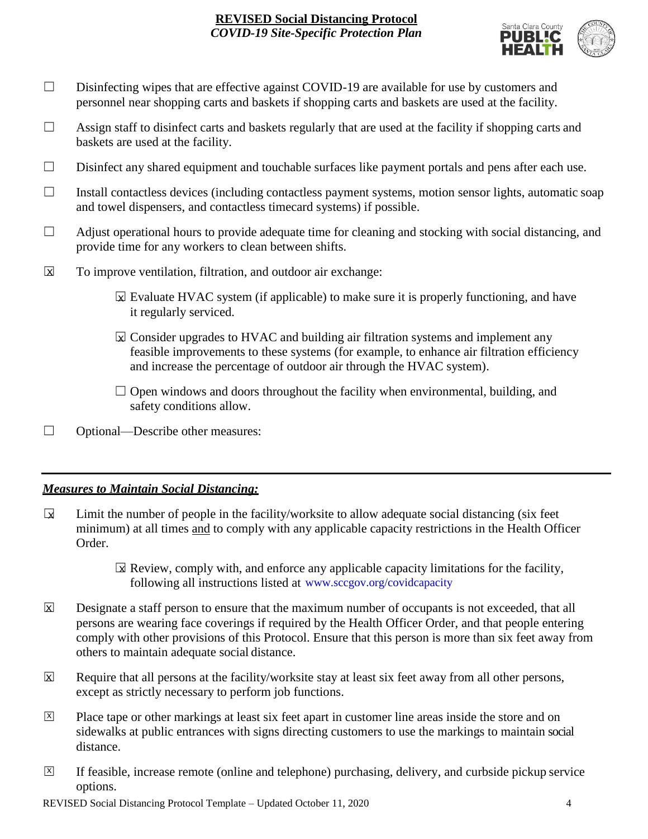

- □ Disinfecting wipes that are effective against COVID-19 are available for use by customers and personnel near shopping carts and baskets if shopping carts and baskets are used at the facility.
- $\Box$  Assign staff to disinfect carts and baskets regularly that are used at the facility if shopping carts and baskets are used at the facility.
- ☐ Disinfect any shared equipment and touchable surfaces like payment portals and pens after each use.
- ☐ Install contactless devices (including contactless payment systems, motion sensor lights, automatic soap and towel dispensers, and contactless timecard systems) if possible.
- $\Box$  Adjust operational hours to provide adequate time for cleaning and stocking with social distancing, and provide time for any workers to clean between shifts.
- To improve ventilation, filtration, and outdoor air exchange:  $\overline{\mathsf{x}}$ 
	- $\boxtimes$  Evaluate HVAC system (if applicable) to make sure it is properly functioning, and have it regularly serviced.
	- $\boxtimes$  Consider upgrades to HVAC and building air filtration systems and implement any feasible improvements to these systems (for example, to enhance air filtration efficiency and increase the percentage of outdoor air through the HVAC system).
	- $\Box$  Open windows and doors throughout the facility when environmental, building, and safety conditions allow.
- ☐ Optional—Describe other measures:

## *Measures to Maintain Social Distancing:*

- Limit the number of people in the facility/worksite to allow adequate social distancing (six feet minimum) at all times and to comply with any applicable capacity restrictions in the Health Officer Order.  $\mathbf{r}$ 
	- $\boxtimes$  Review, comply with, and enforce any applicable capacity limitations for the facility, following all instructions listed at www.sccgov.org/covidcapacity
- Designate a staff person to ensure that the maximum number of occupants is not exceeded, that all persons are wearing face coverings if required by the Health Officer Order, and that people entering comply with other provisions of this Protocol. Ensure that this person is more than six feet away from others to maintain adequate social distance.  $\overline{\mathsf{x}}$
- Require that all persons at the facility/worksite stay at least six feet away from all other persons, except as strictly necessary to perform job functions. X
- Place tape or other markings at least six feet apart in customer line areas inside the store and on sidewalks at public entrances with signs directing customers to use the markings to maintain social distance. X
- ☐ If feasible, increase remote (online and telephone) purchasing, delivery, and curbside pickup service options.  $\overline{X}$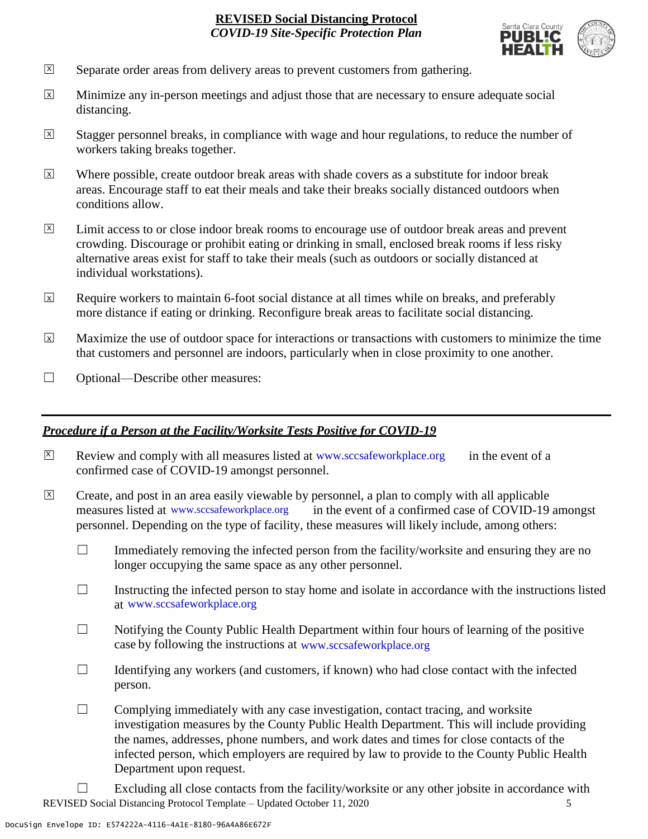

- Separate order areas from delivery areas to prevent customers from gathering. X
- Minimize any in-person meetings and adjust those that are necessary to ensure adequate social distancing.  $\overline{x}$
- Stagger personnel breaks, in compliance with wage and hour regulations, to reduce the number of workers taking breaks together.  $\overline{x}$
- Where possible, create outdoor break areas with shade covers as a substitute for indoor break areas. Encourage staff to eat their meals and take their breaks socially distanced outdoors when conditions allow. X
- Limit access to or close indoor break rooms to encourage use of outdoor break areas and prevent crowding. Discourage or prohibit eating or drinking in small, enclosed break rooms if less risky alternative areas exist for staff to take their meals (such as outdoors or socially distanced at individual workstations).  $\overline{X}$
- Require workers to maintain 6-foot social distance at all times while on breaks, and preferably more distance if eating or drinking. Reconfigure break areas to facilitate social distancing. X
- Maximize the use of outdoor space for interactions or transactions with customers to minimize the time that customers and personnel are indoors, particularly when in close proximity to one another. X
- ☐ Optional—Describe other measures:

#### *Procedure if a Person at the Facility/Worksite Tests Positive for COVID-19*

- $\boxtimes$  Review and comply with all measures listed at [www.sccsafeworkplace.org](http://www.sccsafeworkplace.org/) in the event of a confirmed case of COVID-19 amongst personnel. X
- ☐ Create, and post in an area easily viewable by personnel, a plan to comply with all applicable in the event of a confirmed case of COVID-19 amongst personnel. Depending on the type of facility, these measures will likely include, among others:  $\overline{X}$ measures listed at www.sccsafeworkplace.org
	- $\Box$  Immediately removing the infected person from the facility/worksite and ensuring they are no longer occupying the same space as any other personnel.
	- $\Box$  Instructing the infected person to stay home and isolate in accordance with the instructions listed at [www.sccsafeworkplace.org.](file:///C:/Users/raphael.rajendra/AppData/Local/Microsoft/Windows/INetCache/Content.Outlook/PTLHNOTE/www.sccsafeworkplace.org) www.sccsafeworkplace.org
	- $\Box$  Notifying the County Public Health Department within four hours of learning of the positive case by following the instructions at www.sccsafeworkplace.org
	- $\Box$  Identifying any workers (and customers, if known) who had close contact with the infected person.
	- $\Box$  Complying immediately with any case investigation, contact tracing, and worksite investigation measures by the County Public Health Department. This will include providing the names, addresses, phone numbers, and work dates and times for close contacts of the infected person, which employers are required by law to provide to the County Public Health Department upon request.
- REVISED Social Distancing Protocol Template Updated October 11, 2020 5  $\Box$  Excluding all close contacts from the facility/worksite or any other jobsite in accordance with